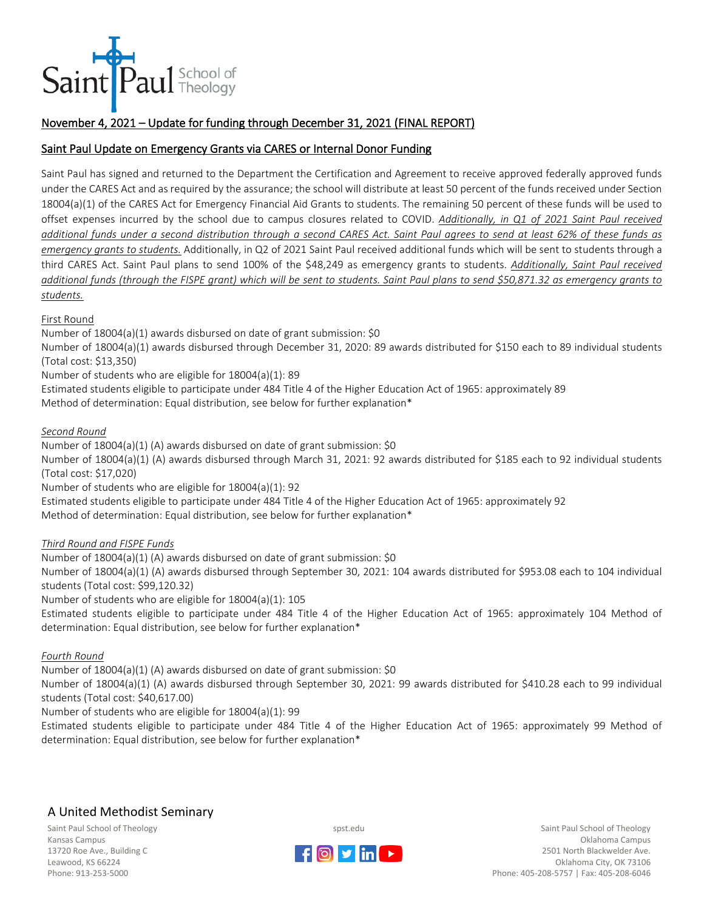

## November 4, 2021 – Update for funding through December 31, 2021 (FINAL REPORT)

### Saint Paul Update on Emergency Grants via CARES or Internal Donor Funding

Saint Paul has signed and returned to the Department the Certification and Agreement to receive approved federally approved funds under the CARES Act and as required by the assurance; the school will distribute at least 50 percent of the funds received under Section 18004(a)(1) of the CARES Act for Emergency Financial Aid Grants to students. The remaining 50 percent of these funds will be used to offset expenses incurred by the school due to campus closures related to COVID. *Additionally, in Q1 of 2021 Saint Paul received additional funds under a second distribution through a second CARES Act. Saint Paul agrees to send at least 62% of these funds as emergency grants to students.* Additionally, in Q2 of 2021 Saint Paul received additional funds which will be sent to students through a third CARES Act. Saint Paul plans to send 100% of the \$48,249 as emergency grants to students. *Additionally, Saint Paul received additional funds (through the FISPE grant) which will be sent to students. Saint Paul plans to send \$50,871.32 as emergency grants to students.*

#### First Round

Number of 18004(a)(1) awards disbursed on date of grant submission: \$0

Number of 18004(a)(1) awards disbursed through December 31, 2020: 89 awards distributed for \$150 each to 89 individual students (Total cost: \$13,350)

Number of students who are eligible for 18004(a)(1): 89

Estimated students eligible to participate under 484 Title 4 of the Higher Education Act of 1965: approximately 89 Method of determination: Equal distribution, see below for further explanation\*

#### *Second Round*

Number of  $18004(a)(1)$  (A) awards disbursed on date of grant submission: \$0

Number of 18004(a)(1) (A) awards disbursed through March 31, 2021: 92 awards distributed for \$185 each to 92 individual students (Total cost: \$17,020)

Number of students who are eligible for 18004(a)(1): 92

Estimated students eligible to participate under 484 Title 4 of the Higher Education Act of 1965: approximately 92

Method of determination: Equal distribution, see below for further explanation\*

#### *Third Round and FISPE Funds*

Number of 18004(a)(1) (A) awards disbursed on date of grant submission: \$0

Number of 18004(a)(1) (A) awards disbursed through September 30, 2021: 104 awards distributed for \$953.08 each to 104 individual students (Total cost: \$99,120.32)

Number of students who are eligible for 18004(a)(1): 105

Estimated students eligible to participate under 484 Title 4 of the Higher Education Act of 1965: approximately 104 Method of determination: Equal distribution, see below for further explanation\*

#### *Fourth Round*

Number of 18004(a)(1) (A) awards disbursed on date of grant submission: \$0

Number of 18004(a)(1) (A) awards disbursed through September 30, 2021: 99 awards distributed for \$410.28 each to 99 individual students (Total cost: \$40,617.00)

Number of students who are eligible for 18004(a)(1): 99

Estimated students eligible to participate under 484 Title 4 of the Higher Education Act of 1965: approximately 99 Method of determination: Equal distribution, see below for further explanation\*

# A United Methodist Seminary

Saint Paul School of Theology Kansas Campus 13720 Roe Ave., Building C Leawood, KS 66224 Phone: 913-253-5000



spst.edu

Saint Paul School of Theology Oklahoma Campus 2501 North Blackwelder Ave. Oklahoma City, OK 73106 Phone: 405-208-5757 | Fax: 405-208-6046